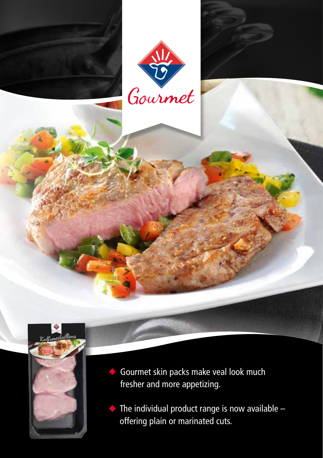





Gourmet skin packs make veal look much fresher and more appetizing.

 $\blacklozenge$  The individual product range is now available  $$ offering plain or marinated cuts.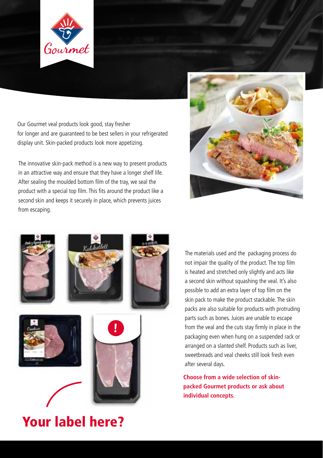

Our Gourmet veal products look good, stay fresher for longer and are guaranteed to be best sellers in your refrigerated display unit. Skin-packed products look more appetizing.

The innovative skin-pack method is a new way to present products in an attractive way and ensure that they have a longer shelf life. After sealing the moulded bottom film of the tray, we seal the product with a special top film. This fits around the product like a second skin and keeps it securely in place, which prevents juices from escaping.





The materials used and the packaging process do not impair the quality of the product. The top film is heated and stretched only slightly and acts like a second skin without squashing the veal. It's also possible to add an extra layer of top film on the skin pack to make the product stackable. The skin packs are also suitable for products with protruding parts such as bones. Juices are unable to escape from the veal and the cuts stay firmly in place in the packaging even when hung on a suspended rack or arranged on a slanted shelf. Products such as liver, sweetbreads and veal cheeks still look fresh even after several days.

**Choose from a wide selection of skinpacked Gourmet products or ask about individual concepts.**

## Your label here?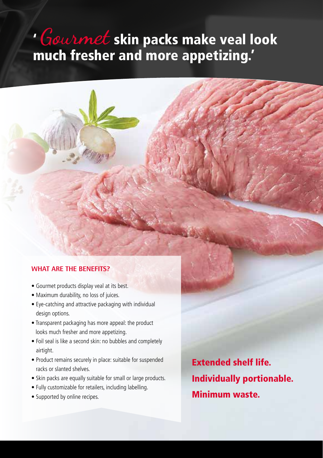## ' Gourmet skin packs make veal look much fresher and more appetizing.'

## **WHAT ARE THE BENEFITS?**

- Gourmet products display veal at its best.
- Maximum durability, no loss of juices.
- Eye-catching and attractive packaging with individual design options.
- Transparent packaging has more appeal: the product looks much fresher and more appetizing.
- Foil seal is like a second skin: no bubbles and completely airtight.
- Product remains securely in place: suitable for suspended racks or slanted shelves.
- Skin packs are equally suitable for small or large products.
- Fully customizable for retailers, including labelling.
- Supported by online recipes.

Extended shelf life. Individually portionable. Minimum waste.